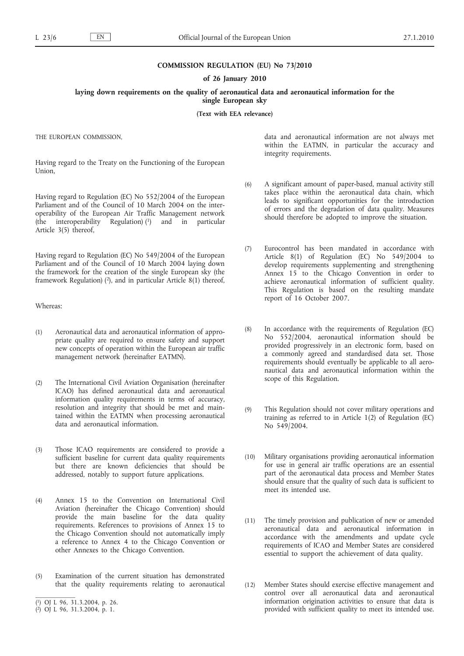### **COMMISSION REGULATION (EU) No 73/2010**

## **of 26 January 2010**

**laying down requirements on the quality of aeronautical data and aeronautical information for the single European sky**

**(Text with EEA relevance)**

THE EUROPEAN COMMISSION,

Having regard to the Treaty on the Functioning of the European Union,

Having regard to Regulation (EC) No 552/2004 of the European Parliament and of the Council of 10 March 2004 on the interoperability of the European Air Traffic Management network (the interoperability Regulation)  $(1)$  and in particular Article 3(5) thereof,

Having regard to Regulation (EC) No 549/2004 of the European Parliament and of the Council of 10 March 2004 laying down the framework for the creation of the single European sky (the framework Regulation)  $(2)$ , and in particular Article 8(1) thereof,

Whereas:

- (1) Aeronautical data and aeronautical information of appropriate quality are required to ensure safety and support new concepts of operation within the European air traffic management network (hereinafter EATMN).
- (2) The International Civil Aviation Organisation (hereinafter ICAO) has defined aeronautical data and aeronautical information quality requirements in terms of accuracy, resolution and integrity that should be met and maintained within the EATMN when processing aeronautical data and aeronautical information.
- (3) Those ICAO requirements are considered to provide a sufficient baseline for current data quality requirements but there are known deficiencies that should be addressed, notably to support future applications.
- (4) Annex 15 to the Convention on International Civil Aviation (hereinafter the Chicago Convention) should provide the main baseline for the data quality requirements. References to provisions of Annex 15 to the Chicago Convention should not automatically imply a reference to Annex 4 to the Chicago Convention or other Annexes to the Chicago Convention.
- (5) Examination of the current situation has demonstrated that the quality requirements relating to aeronautical

data and aeronautical information are not always met within the EATMN, in particular the accuracy and integrity requirements.

- (6) A significant amount of paper-based, manual activity still takes place within the aeronautical data chain, which leads to significant opportunities for the introduction of errors and the degradation of data quality. Measures should therefore be adopted to improve the situation.
- (7) Eurocontrol has been mandated in accordance with Article 8(1) of Regulation (EC) No 549/2004 to develop requirements supplementing and strengthening Annex 15 to the Chicago Convention in order to achieve aeronautical information of sufficient quality. This Regulation is based on the resulting mandate report of 16 October 2007.
- (8) In accordance with the requirements of Regulation (EC) No 552/2004, aeronautical information should be provided progressively in an electronic form, based on a commonly agreed and standardised data set. Those requirements should eventually be applicable to all aeronautical data and aeronautical information within the scope of this Regulation.
- (9) This Regulation should not cover military operations and training as referred to in Article 1(2) of Regulation (EC) No 549/2004.
- (10) Military organisations providing aeronautical information for use in general air traffic operations are an essential part of the aeronautical data process and Member States should ensure that the quality of such data is sufficient to meet its intended use.
- (11) The timely provision and publication of new or amended aeronautical data and aeronautical information in accordance with the amendments and update cycle requirements of ICAO and Member States are considered essential to support the achievement of data quality.
- (12) Member States should exercise effective management and control over all aeronautical data and aeronautical information origination activities to ensure that data is provided with sufficient quality to meet its intended use.

<sup>(</sup> 1) OJ L 96, 31.3.2004, p. 26.

<sup>(</sup> 2) OJ L 96, 31.3.2004, p. 1.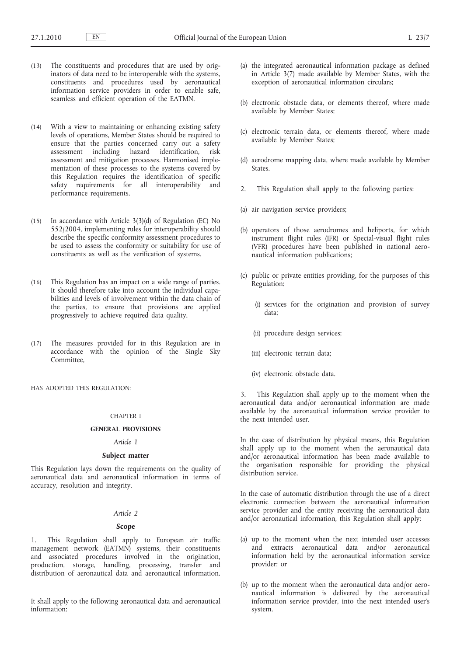- (13) The constituents and procedures that are used by originators of data need to be interoperable with the systems, constituents and procedures used by aeronautical information service providers in order to enable safe, seamless and efficient operation of the EATMN.
- (14) With a view to maintaining or enhancing existing safety levels of operations, Member States should be required to ensure that the parties concerned carry out a safety assessment including hazard identification, risk assessment and mitigation processes. Harmonised implementation of these processes to the systems covered by this Regulation requires the identification of specific safety requirements for all interoperability and performance requirements.
- (15) In accordance with Article 3(3)(d) of Regulation (EC) No 552/2004, implementing rules for interoperability should describe the specific conformity assessment procedures to be used to assess the conformity or suitability for use of constituents as well as the verification of systems.
- (16) This Regulation has an impact on a wide range of parties. It should therefore take into account the individual capabilities and levels of involvement within the data chain of the parties, to ensure that provisions are applied progressively to achieve required data quality.
- (17) The measures provided for in this Regulation are in accordance with the opinion of the Single Sky Committee,

HAS ADOPTED THIS REGULATION:

## CHAPTER I

### **GENERAL PROVISIONS**

# *Article 1*

## **Subject matter**

This Regulation lays down the requirements on the quality of aeronautical data and aeronautical information in terms of accuracy, resolution and integrity.

## *Article 2*

## **Scope**

1. This Regulation shall apply to European air traffic management network (EATMN) systems, their constituents and associated procedures involved in the origination, production, storage, handling, processing, transfer and distribution of aeronautical data and aeronautical information.

It shall apply to the following aeronautical data and aeronautical information:

- (a) the integrated aeronautical information package as defined in Article 3(7) made available by Member States, with the exception of aeronautical information circulars;
- (b) electronic obstacle data, or elements thereof, where made available by Member States;
- (c) electronic terrain data, or elements thereof, where made available by Member States;
- (d) aerodrome mapping data, where made available by Member States.
- 2. This Regulation shall apply to the following parties:
- (a) air navigation service providers;
- (b) operators of those aerodromes and heliports, for which instrument flight rules (IFR) or Special-visual flight rules (VFR) procedures have been published in national aeronautical information publications;
- (c) public or private entities providing, for the purposes of this Regulation:
	- (i) services for the origination and provision of survey data;
	- (ii) procedure design services;
	- (iii) electronic terrain data;
	- (iv) electronic obstacle data.

3. This Regulation shall apply up to the moment when the aeronautical data and/or aeronautical information are made available by the aeronautical information service provider to the next intended user.

In the case of distribution by physical means, this Regulation shall apply up to the moment when the aeronautical data and/or aeronautical information has been made available to the organisation responsible for providing the physical distribution service.

In the case of automatic distribution through the use of a direct electronic connection between the aeronautical information service provider and the entity receiving the aeronautical data and/or aeronautical information, this Regulation shall apply:

- (a) up to the moment when the next intended user accesses and extracts aeronautical data and/or aeronautical information held by the aeronautical information service provider; or
- (b) up to the moment when the aeronautical data and/or aeronautical information is delivered by the aeronautical information service provider, into the next intended user's system.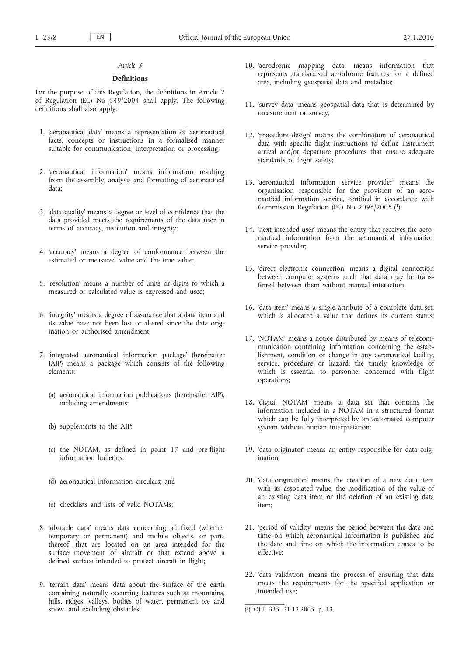# *Article 3*

## **Definitions**

For the purpose of this Regulation, the definitions in Article 2 of Regulation (EC) No 549/2004 shall apply. The following definitions shall also apply:

- 1. 'aeronautical data' means a representation of aeronautical facts, concepts or instructions in a formalised manner suitable for communication, interpretation or processing;
- 2. 'aeronautical information' means information resulting from the assembly, analysis and formatting of aeronautical data;
- 3. 'data quality' means a degree or level of confidence that the data provided meets the requirements of the data user in terms of accuracy, resolution and integrity;
- 4. 'accuracy' means a degree of conformance between the estimated or measured value and the true value;
- 5. 'resolution' means a number of units or digits to which a measured or calculated value is expressed and used;
- 6. 'integrity' means a degree of assurance that a data item and its value have not been lost or altered since the data origination or authorised amendment;
- 7. 'integrated aeronautical information package' (hereinafter IAIP) means a package which consists of the following elements:
	- (a) aeronautical information publications (hereinafter AIP), including amendments;
	- (b) supplements to the AIP;
	- (c) the NOTAM, as defined in point 17 and pre-flight information bulletins;
	- (d) aeronautical information circulars; and
	- (e) checklists and lists of valid NOTAMs;
- 8. 'obstacle data' means data concerning all fixed (whether temporary or permanent) and mobile objects, or parts thereof, that are located on an area intended for the surface movement of aircraft or that extend above a defined surface intended to protect aircraft in flight;
- 9. 'terrain data' means data about the surface of the earth containing naturally occurring features such as mountains, hills, ridges, valleys, bodies of water, permanent ice and snow, and excluding obstacles;
- 10. 'aerodrome mapping data' means information that represents standardised aerodrome features for a defined area, including geospatial data and metadata;
- 11. 'survey data' means geospatial data that is determined by measurement or survey;
- 12. 'procedure design' means the combination of aeronautical data with specific flight instructions to define instrument arrival and/or departure procedures that ensure adequate standards of flight safety;
- 13. 'aeronautical information service provider' means the organisation responsible for the provision of an aeronautical information service, certified in accordance with Commission Regulation (EC) No 2096/2005 (1);
- 14. 'next intended user' means the entity that receives the aeronautical information from the aeronautical information service provider;
- 15. 'direct electronic connection' means a digital connection between computer systems such that data may be transferred between them without manual interaction;
- 16. 'data item' means a single attribute of a complete data set, which is allocated a value that defines its current status;
- 17. 'NOTAM' means a notice distributed by means of telecommunication containing information concerning the establishment, condition or change in any aeronautical facility, service, procedure or hazard, the timely knowledge of which is essential to personnel concerned with flight operations;
- 18. 'digital NOTAM' means a data set that contains the information included in a NOTAM in a structured format which can be fully interpreted by an automated computer system without human interpretation;
- 19. 'data originator' means an entity responsible for data origination;
- 20. 'data origination' means the creation of a new data item with its associated value, the modification of the value of an existing data item or the deletion of an existing data item;
- 21. 'period of validity' means the period between the date and time on which aeronautical information is published and the date and time on which the information ceases to be effective;
- 22. 'data validation' means the process of ensuring that data meets the requirements for the specified application or intended use;

<sup>(</sup> 1) OJ L 335, 21.12.2005, p. 13.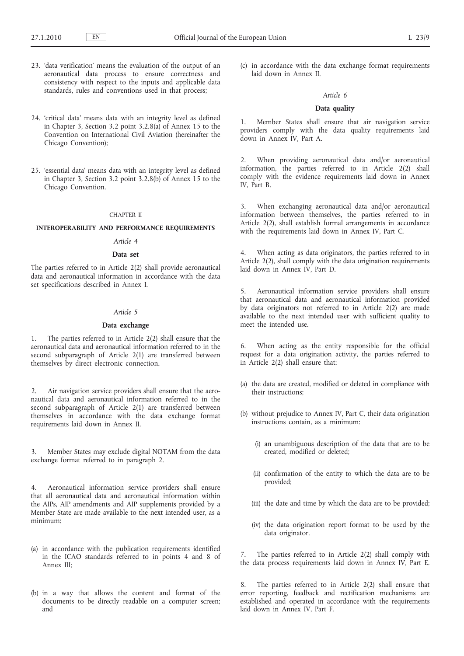- 23. 'data verification' means the evaluation of the output of an aeronautical data process to ensure correctness and consistency with respect to the inputs and applicable data standards, rules and conventions used in that process;
- 24. 'critical data' means data with an integrity level as defined in Chapter 3, Section 3.2 point 3.2.8(a) of Annex 15 to the Convention on International Civil Aviation (hereinafter the Chicago Convention);
- 25. 'essential data' means data with an integrity level as defined in Chapter 3, Section 3.2 point 3.2.8(b) of Annex 15 to the Chicago Convention.

#### CHAPTER II

## **INTEROPERABILITY AND PERFORMANCE REQUIREMENTS**

## *Article 4*

# **Data set**

The parties referred to in Article 2(2) shall provide aeronautical data and aeronautical information in accordance with the data set specifications described in Annex I.

## *Article 5*

## **Data exchange**

1. The parties referred to in Article 2(2) shall ensure that the aeronautical data and aeronautical information referred to in the second subparagraph of Article 2(1) are transferred between themselves by direct electronic connection.

2. Air navigation service providers shall ensure that the aeronautical data and aeronautical information referred to in the second subparagraph of Article 2(1) are transferred between themselves in accordance with the data exchange format requirements laid down in Annex II.

3. Member States may exclude digital NOTAM from the data exchange format referred to in paragraph 2.

4. Aeronautical information service providers shall ensure that all aeronautical data and aeronautical information within the AIPs, AIP amendments and AIP supplements provided by a Member State are made available to the next intended user, as a minimum:

- (a) in accordance with the publication requirements identified in the ICAO standards referred to in points 4 and 8 of Annex III;
- (b) in a way that allows the content and format of the documents to be directly readable on a computer screen; and

(c) in accordance with the data exchange format requirements laid down in Annex II.

## *Article 6*

## **Data quality**

Member States shall ensure that air navigation service providers comply with the data quality requirements laid down in Annex IV, Part A.

2. When providing aeronautical data and/or aeronautical information, the parties referred to in Article 2(2) shall comply with the evidence requirements laid down in Annex IV, Part B.

3. When exchanging aeronautical data and/or aeronautical information between themselves, the parties referred to in Article 2(2), shall establish formal arrangements in accordance with the requirements laid down in Annex IV, Part C.

When acting as data originators, the parties referred to in Article 2(2), shall comply with the data origination requirements laid down in Annex IV, Part D.

5. Aeronautical information service providers shall ensure that aeronautical data and aeronautical information provided by data originators not referred to in Article 2(2) are made available to the next intended user with sufficient quality to meet the intended use.

6. When acting as the entity responsible for the official request for a data origination activity, the parties referred to in Article 2(2) shall ensure that:

- (a) the data are created, modified or deleted in compliance with their instructions;
- (b) without prejudice to Annex IV, Part C, their data origination instructions contain, as a minimum:
	- (i) an unambiguous description of the data that are to be created, modified or deleted;
	- (ii) confirmation of the entity to which the data are to be provided;
	- (iii) the date and time by which the data are to be provided;
	- (iv) the data origination report format to be used by the data originator.

The parties referred to in Article 2(2) shall comply with the data process requirements laid down in Annex IV, Part E.

8. The parties referred to in Article 2(2) shall ensure that error reporting, feedback and rectification mechanisms are established and operated in accordance with the requirements laid down in Annex IV, Part F.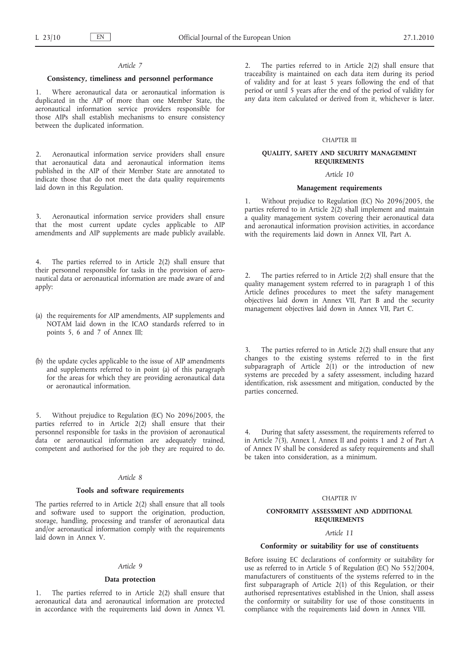### *Article 7*

## **Consistency, timeliness and personnel performance**

1. Where aeronautical data or aeronautical information is duplicated in the AIP of more than one Member State, the aeronautical information service providers responsible for those AIPs shall establish mechanisms to ensure consistency between the duplicated information.

2. Aeronautical information service providers shall ensure that aeronautical data and aeronautical information items published in the AIP of their Member State are annotated to indicate those that do not meet the data quality requirements laid down in this Regulation.

3. Aeronautical information service providers shall ensure that the most current update cycles applicable to AIP amendments and AIP supplements are made publicly available.

4. The parties referred to in Article 2(2) shall ensure that their personnel responsible for tasks in the provision of aeronautical data or aeronautical information are made aware of and apply:

- (a) the requirements for AIP amendments, AIP supplements and NOTAM laid down in the ICAO standards referred to in points 5, 6 and 7 of Annex III;
- (b) the update cycles applicable to the issue of AIP amendments and supplements referred to in point (a) of this paragraph for the areas for which they are providing aeronautical data or aeronautical information.

5. Without prejudice to Regulation (EC) No 2096/2005, the parties referred to in Article  $2(2)$  shall ensure that their personnel responsible for tasks in the provision of aeronautical data or aeronautical information are adequately trained, competent and authorised for the job they are required to do.

# *Article 8*

## **Tools and software requirements**

The parties referred to in Article 2(2) shall ensure that all tools and software used to support the origination, production, storage, handling, processing and transfer of aeronautical data and/or aeronautical information comply with the requirements laid down in Annex V.

### *Article 9*

### **Data protection**

1. The parties referred to in Article 2(2) shall ensure that aeronautical data and aeronautical information are protected in accordance with the requirements laid down in Annex VI. 2. The parties referred to in Article 2(2) shall ensure that traceability is maintained on each data item during its period of validity and for at least 5 years following the end of that period or until 5 years after the end of the period of validity for any data item calculated or derived from it, whichever is later.

## CHAPTER III

### **QUALITY, SAFETY AND SECURITY MANAGEMENT REQUIREMENTS**

### *Article 10*

### **Management requirements**

1. Without prejudice to Regulation (EC) No 2096/2005, the parties referred to in Article 2(2) shall implement and maintain a quality management system covering their aeronautical data and aeronautical information provision activities, in accordance with the requirements laid down in Annex VII, Part A.

2. The parties referred to in Article 2(2) shall ensure that the quality management system referred to in paragraph 1 of this Article defines procedures to meet the safety management objectives laid down in Annex VII, Part B and the security management objectives laid down in Annex VII, Part C.

3. The parties referred to in Article 2(2) shall ensure that any changes to the existing systems referred to in the first subparagraph of Article  $2(1)$  or the introduction of new systems are preceded by a safety assessment, including hazard identification, risk assessment and mitigation, conducted by the parties concerned.

During that safety assessment, the requirements referred to in Article 7(3), Annex I, Annex II and points 1 and 2 of Part A of Annex IV shall be considered as safety requirements and shall be taken into consideration, as a minimum.

## CHAPTER IV

### **CONFORMITY ASSESSMENT AND ADDITIONAL REQUIREMENTS**

## *Article 11*

### **Conformity or suitability for use of constituents**

Before issuing EC declarations of conformity or suitability for use as referred to in Article 5 of Regulation (EC) No 552/2004, manufacturers of constituents of the systems referred to in the first subparagraph of Article 2(1) of this Regulation, or their authorised representatives established in the Union, shall assess the conformity or suitability for use of those constituents in compliance with the requirements laid down in Annex VIII.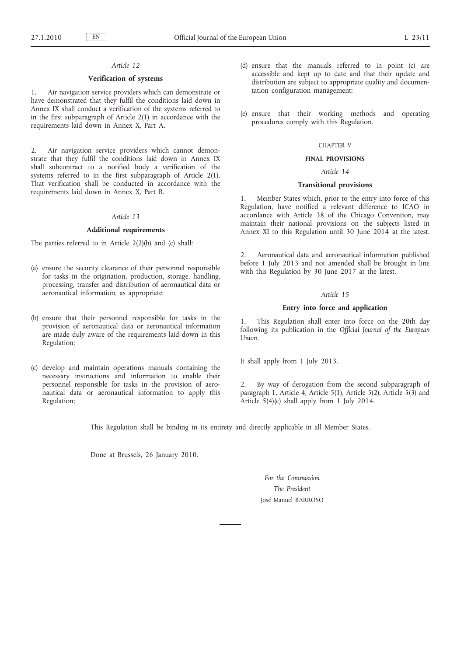## *Article 12*

## **Verification of systems**

1. Air navigation service providers which can demonstrate or have demonstrated that they fulfil the conditions laid down in Annex IX shall conduct a verification of the systems referred to in the first subparagraph of Article 2(1) in accordance with the requirements laid down in Annex X, Part A.

2. Air navigation service providers which cannot demonstrate that they fulfil the conditions laid down in Annex IX shall subcontract to a notified body a verification of the systems referred to in the first subparagraph of Article 2(1). That verification shall be conducted in accordance with the requirements laid down in Annex X, Part B.

## *Article 13*

## **Additional requirements**

The parties referred to in Article 2(2)(b) and (c) shall:

- (a) ensure the security clearance of their personnel responsible for tasks in the origination, production, storage, handling, processing, transfer and distribution of aeronautical data or aeronautical information, as appropriate;
- (b) ensure that their personnel responsible for tasks in the provision of aeronautical data or aeronautical information are made duly aware of the requirements laid down in this Regulation;
- (c) develop and maintain operations manuals containing the necessary instructions and information to enable their personnel responsible for tasks in the provision of aeronautical data or aeronautical information to apply this Regulation;
- (d) ensure that the manuals referred to in point (c) are accessible and kept up to date and that their update and distribution are subject to appropriate quality and documentation configuration management;
- (e) ensure that their working methods and operating procedures comply with this Regulation.

## CHAPTER V

### **FINAL PROVISIONS**

### *Article 14*

### **Transitional provisions**

1. Member States which, prior to the entry into force of this Regulation, have notified a relevant difference to ICAO in accordance with Article 38 of the Chicago Convention, may maintain their national provisions on the subjects listed in Annex XI to this Regulation until 30 June 2014 at the latest.

2. Aeronautical data and aeronautical information published before 1 July 2013 and not amended shall be brought in line with this Regulation by 30 June 2017 at the latest.

### *Article 15*

### **Entry into force and application**

This Regulation shall enter into force on the 20th day following its publication in the *Official Journal of the European Union*.

It shall apply from 1 July 2013.

By way of derogation from the second subparagraph of paragraph 1, Article 4, Article 5(1), Article 5(2), Article 5(3) and Article 5(4)(c) shall apply from 1 July 2014.

This Regulation shall be binding in its entirety and directly applicable in all Member States.

Done at Brussels, 26 January 2010.

*For the Commission The President* José Manuel BARROSO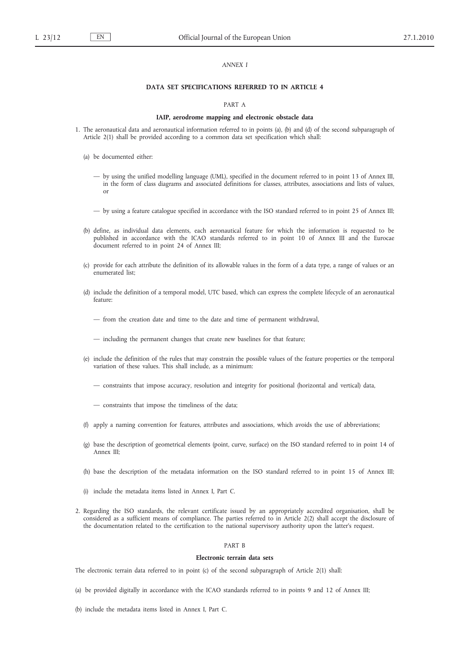## *ANNEX I*

## **DATA SET SPECIFICATIONS REFERRED TO IN ARTICLE 4**

#### PART A

### **IAIP, aerodrome mapping and electronic obstacle data**

- 1. The aeronautical data and aeronautical information referred to in points (a), (b) and (d) of the second subparagraph of Article 2(1) shall be provided according to a common data set specification which shall:
	- (a) be documented either:
		- by using the unified modelling language (UML), specified in the document referred to in point 13 of Annex III, in the form of class diagrams and associated definitions for classes, attributes, associations and lists of values, or
		- by using a feature catalogue specified in accordance with the ISO standard referred to in point 25 of Annex III;
	- (b) define, as individual data elements, each aeronautical feature for which the information is requested to be published in accordance with the ICAO standards referred to in point 10 of Annex III and the Eurocae document referred to in point 24 of Annex III;
	- (c) provide for each attribute the definition of its allowable values in the form of a data type, a range of values or an enumerated list;
	- (d) include the definition of a temporal model, UTC based, which can express the complete lifecycle of an aeronautical feature:
		- from the creation date and time to the date and time of permanent withdrawal,
		- including the permanent changes that create new baselines for that feature;
	- (e) include the definition of the rules that may constrain the possible values of the feature properties or the temporal variation of these values. This shall include, as a minimum:
		- constraints that impose accuracy, resolution and integrity for positional (horizontal and vertical) data,
		- constraints that impose the timeliness of the data;
	- (f) apply a naming convention for features, attributes and associations, which avoids the use of abbreviations;
	- (g) base the description of geometrical elements (point, curve, surface) on the ISO standard referred to in point 14 of Annex III;
	- (h) base the description of the metadata information on the ISO standard referred to in point 15 of Annex III;
	- (i) include the metadata items listed in Annex I, Part C.
- 2. Regarding the ISO standards, the relevant certificate issued by an appropriately accredited organisation, shall be considered as a sufficient means of compliance. The parties referred to in Article 2(2) shall accept the disclosure of the documentation related to the certification to the national supervisory authority upon the latter's request.

#### PART B

## **Electronic terrain data sets**

The electronic terrain data referred to in point (c) of the second subparagraph of Article 2(1) shall:

- (a) be provided digitally in accordance with the ICAO standards referred to in points 9 and 12 of Annex III;
- (b) include the metadata items listed in Annex I, Part C.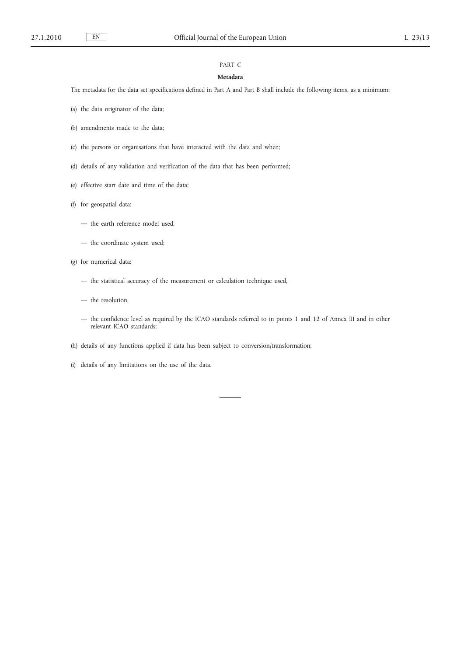# PART C

### **Metadata**

The metadata for the data set specifications defined in Part A and Part B shall include the following items, as a minimum:

- (a) the data originator of the data;
- (b) amendments made to the data;
- (c) the persons or organisations that have interacted with the data and when;
- (d) details of any validation and verification of the data that has been performed;
- (e) effective start date and time of the data;
- (f) for geospatial data:
	- the earth reference model used,
	- the coordinate system used;
- (g) for numerical data:
	- the statistical accuracy of the measurement or calculation technique used,
	- the resolution,
	- the confidence level as required by the ICAO standards referred to in points 1 and 12 of Annex III and in other relevant ICAO standards;
- (h) details of any functions applied if data has been subject to conversion/transformation;
- (i) details of any limitations on the use of the data.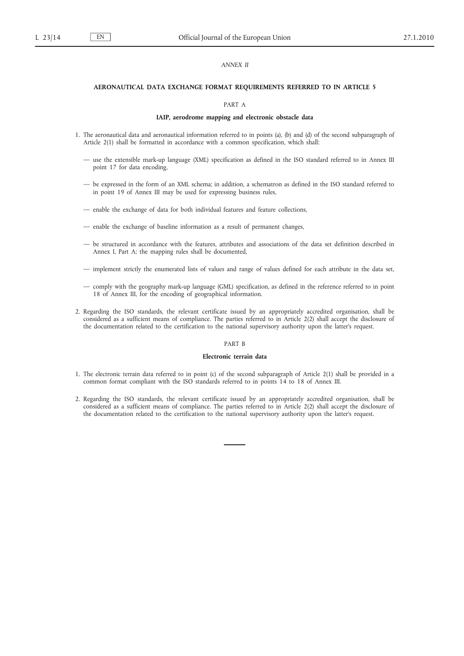## *ANNEX II*

### **AERONAUTICAL DATA EXCHANGE FORMAT REQUIREMENTS REFERRED TO IN ARTICLE 5**

#### PART A

### **IAIP, aerodrome mapping and electronic obstacle data**

- 1. The aeronautical data and aeronautical information referred to in points (a), (b) and (d) of the second subparagraph of Article 2(1) shall be formatted in accordance with a common specification, which shall:
	- use the extensible mark-up language (XML) specification as defined in the ISO standard referred to in Annex III point 17 for data encoding,
	- be expressed in the form of an XML schema; in addition, a schematron as defined in the ISO standard referred to in point 19 of Annex III may be used for expressing business rules,
	- enable the exchange of data for both individual features and feature collections,
	- enable the exchange of baseline information as a result of permanent changes,
	- be structured in accordance with the features, attributes and associations of the data set definition described in Annex I, Part A; the mapping rules shall be documented,
	- implement strictly the enumerated lists of values and range of values defined for each attribute in the data set,
	- comply with the geography mark-up language (GML) specification, as defined in the reference referred to in point 18 of Annex III, for the encoding of geographical information.
- 2. Regarding the ISO standards, the relevant certificate issued by an appropriately accredited organisation, shall be considered as a sufficient means of compliance. The parties referred to in Article 2(2) shall accept the disclosure of the documentation related to the certification to the national supervisory authority upon the latter's request.

## PART B

### **Electronic terrain data**

- 1. The electronic terrain data referred to in point (c) of the second subparagraph of Article 2(1) shall be provided in a common format compliant with the ISO standards referred to in points 14 to 18 of Annex III.
- 2. Regarding the ISO standards, the relevant certificate issued by an appropriately accredited organisation, shall be considered as a sufficient means of compliance. The parties referred to in Article 2(2) shall accept the disclosure of the documentation related to the certification to the national supervisory authority upon the latter's request.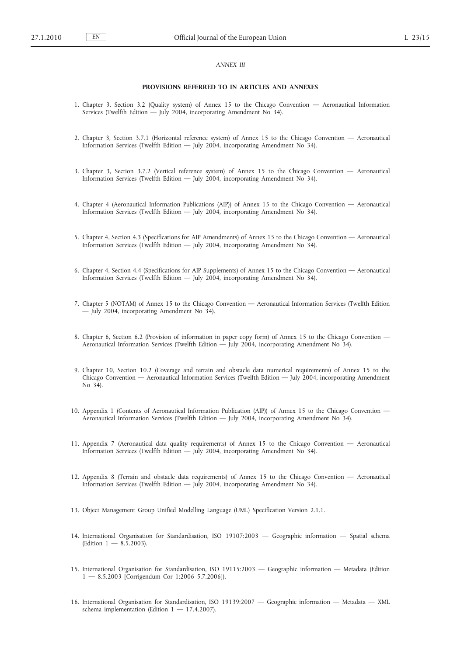### *ANNEX III*

### **PROVISIONS REFERRED TO IN ARTICLES AND ANNEXES**

- 1. Chapter 3, Section 3.2 (Quality system) of Annex 15 to the Chicago Convention Aeronautical Information Services (Twelfth Edition — July 2004, incorporating Amendment No 34).
- 2. Chapter 3, Section 3.7.1 (Horizontal reference system) of Annex 15 to the Chicago Convention Aeronautical Information Services (Twelfth Edition — July 2004, incorporating Amendment No 34).
- 3. Chapter 3, Section 3.7.2 (Vertical reference system) of Annex 15 to the Chicago Convention Aeronautical Information Services (Twelfth Edition — July 2004, incorporating Amendment No 34).
- 4. Chapter 4 (Aeronautical Information Publications (AIP)) of Annex 15 to the Chicago Convention Aeronautical Information Services (Twelfth Edition — July 2004, incorporating Amendment No 34).
- 5. Chapter 4, Section 4.3 (Specifications for AIP Amendments) of Annex 15 to the Chicago Convention Aeronautical Information Services (Twelfth Edition — July 2004, incorporating Amendment No 34).
- 6. Chapter 4, Section 4.4 (Specifications for AIP Supplements) of Annex 15 to the Chicago Convention Aeronautical Information Services (Twelfth Edition — July 2004, incorporating Amendment No 34).
- 7. Chapter 5 (NOTAM) of Annex 15 to the Chicago Convention Aeronautical Information Services (Twelfth Edition — July 2004, incorporating Amendment No 34).
- 8. Chapter 6, Section 6.2 (Provision of information in paper copy form) of Annex 15 to the Chicago Convention Aeronautical Information Services (Twelfth Edition — July 2004, incorporating Amendment No 34).
- 9. Chapter 10, Section 10.2 (Coverage and terrain and obstacle data numerical requirements) of Annex 15 to the Chicago Convention — Aeronautical Information Services (Twelfth Edition — July 2004, incorporating Amendment No 34).
- 10. Appendix 1 (Contents of Aeronautical Information Publication (AIP)) of Annex 15 to the Chicago Convention Aeronautical Information Services (Twelfth Edition — July 2004, incorporating Amendment No 34).
- 11. Appendix 7 (Aeronautical data quality requirements) of Annex 15 to the Chicago Convention Aeronautical Information Services (Twelfth Edition — July 2004, incorporating Amendment No 34).
- 12. Appendix 8 (Terrain and obstacle data requirements) of Annex 15 to the Chicago Convention Aeronautical Information Services (Twelfth Edition — July 2004, incorporating Amendment No 34).
- 13. Object Management Group Unified Modelling Language (UML) Specification Version 2.1.1.
- 14. International Organisation for Standardisation, ISO 19107:2003 Geographic information Spatial schema (Edition  $1 - 8.5.2003$ ).
- 15. International Organisation for Standardisation, ISO 19115:2003 Geographic information Metadata (Edition 1 — 8.5.2003 [Corrigendum Cor 1:2006 5.7.2006]).
- 16. International Organisation for Standardisation, ISO 19139:2007 Geographic information Metadata XML schema implementation (Edition  $1 - 17.4.2007$ ).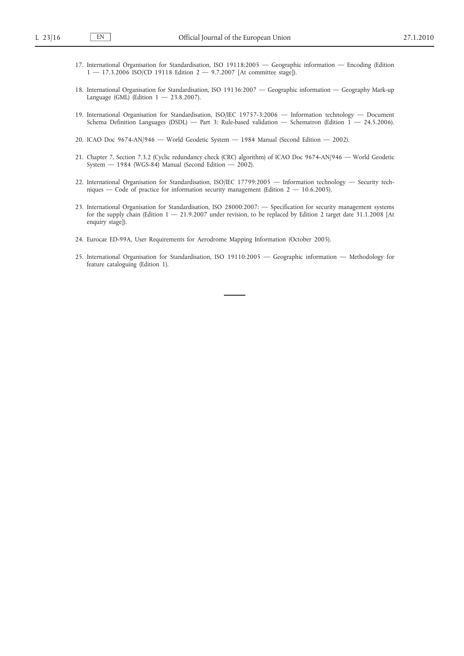- 17. International Organisation for Standardisation, ISO 19118:2005 Geographic information Encoding (Edition  $1 - 17.3.2006$  ISO/CD 19118 Edition  $2 - 9.7.2007$  [At committee stage]).
- 18. International Organisation for Standardisation, ISO 19136:2007 Geographic information Geography Mark-up Language (GML) (Edition  $1 - 23.8.2007$ ).
- 19. International Organisation for Standardisation, ISO/IEC 19757-3:2006 Information technology Document Schema Definition Languages (DSDL) — Part 3: Rule-based validation — Schematron (Edition 1 — 24.5.2006).
- 20. ICAO Doc 9674-AN/946 World Geodetic System 1984 Manual (Second Edition 2002).
- 21. Chapter 7, Section 7.3.2 (Cyclic redundancy check (CRC) algorithm) of ICAO Doc 9674-AN/946 World Geodetic System — 1984 (WGS-84) Manual (Second Edition — 2002).
- 22. International Organisation for Standardisation, ISO/IEC 17799:2005 Information technology Security techniques — Code of practice for information security management (Edition  $2 - 10.6.2005$ ).
- 23. International Organisation for Standardisation, ISO 28000:2007: Specification for security management systems for the supply chain (Edition 1 — 21.9.2007 under revision, to be replaced by Edition 2 target date 31.1.2008 [At enquiry stage]).
- 24. Eurocae ED-99A, User Requirements for Aerodrome Mapping Information (October 2005).
- 25. International Organisation for Standardisation, ISO 19110:2005 Geographic information Methodology for feature cataloguing (Edition 1).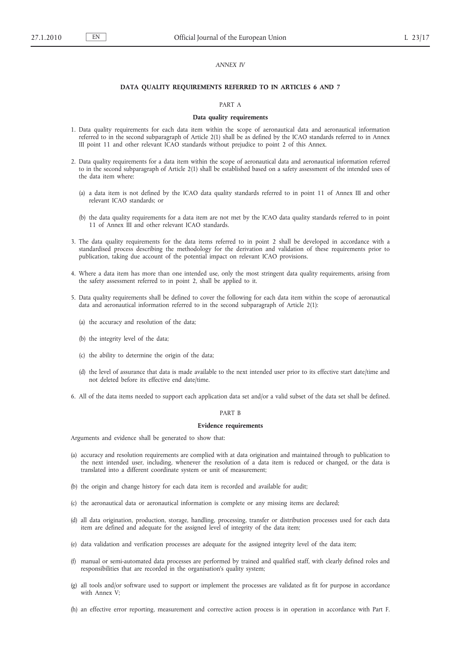## *ANNEX IV*

### **DATA QUALITY REQUIREMENTS REFERRED TO IN ARTICLES 6 AND 7**

#### PART A

### **Data quality requirements**

- 1. Data quality requirements for each data item within the scope of aeronautical data and aeronautical information referred to in the second subparagraph of Article 2(1) shall be as defined by the ICAO standards referred to in Annex III point 11 and other relevant ICAO standards without prejudice to point 2 of this Annex.
- 2. Data quality requirements for a data item within the scope of aeronautical data and aeronautical information referred to in the second subparagraph of Article 2(1) shall be established based on a safety assessment of the intended uses of the data item where:
	- (a) a data item is not defined by the ICAO data quality standards referred to in point 11 of Annex III and other relevant ICAO standards; or
	- (b) the data quality requirements for a data item are not met by the ICAO data quality standards referred to in point 11 of Annex III and other relevant ICAO standards.
- 3. The data quality requirements for the data items referred to in point 2 shall be developed in accordance with a standardised process describing the methodology for the derivation and validation of these requirements prior to publication, taking due account of the potential impact on relevant ICAO provisions.
- 4. Where a data item has more than one intended use, only the most stringent data quality requirements, arising from the safety assessment referred to in point 2, shall be applied to it.
- 5. Data quality requirements shall be defined to cover the following for each data item within the scope of aeronautical data and aeronautical information referred to in the second subparagraph of Article 2(1):
	- (a) the accuracy and resolution of the data;
	- (b) the integrity level of the data;
	- (c) the ability to determine the origin of the data;
	- (d) the level of assurance that data is made available to the next intended user prior to its effective start date/time and not deleted before its effective end date/time.
- 6. All of the data items needed to support each application data set and/or a valid subset of the data set shall be defined.

## PART B

#### **Evidence requirements**

Arguments and evidence shall be generated to show that:

- (a) accuracy and resolution requirements are complied with at data origination and maintained through to publication to the next intended user, including, whenever the resolution of a data item is reduced or changed, or the data is translated into a different coordinate system or unit of measurement;
- (b) the origin and change history for each data item is recorded and available for audit;
- (c) the aeronautical data or aeronautical information is complete or any missing items are declared;
- (d) all data origination, production, storage, handling, processing, transfer or distribution processes used for each data item are defined and adequate for the assigned level of integrity of the data item;
- (e) data validation and verification processes are adequate for the assigned integrity level of the data item;
- (f) manual or semi-automated data processes are performed by trained and qualified staff, with clearly defined roles and responsibilities that are recorded in the organisation's quality system;
- (g) all tools and/or software used to support or implement the processes are validated as fit for purpose in accordance with Annex V;
- (h) an effective error reporting, measurement and corrective action process is in operation in accordance with Part F.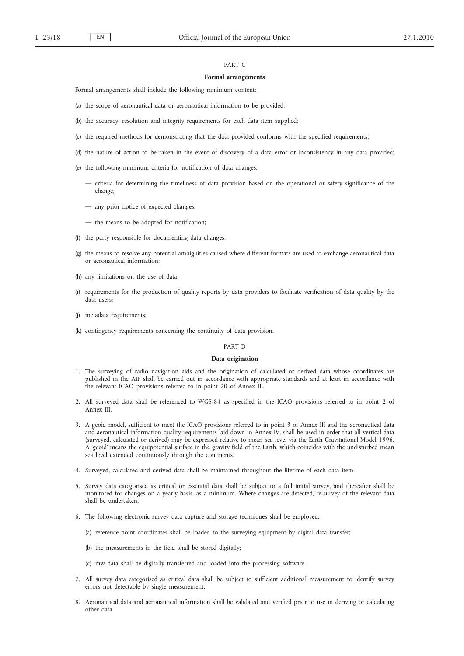### PART C

#### **Formal arrangements**

Formal arrangements shall include the following minimum content:

- (a) the scope of aeronautical data or aeronautical information to be provided;
- (b) the accuracy, resolution and integrity requirements for each data item supplied;
- (c) the required methods for demonstrating that the data provided conforms with the specified requirements;
- (d) the nature of action to be taken in the event of discovery of a data error or inconsistency in any data provided;
- (e) the following minimum criteria for notification of data changes:
	- criteria for determining the timeliness of data provision based on the operational or safety significance of the change,
	- any prior notice of expected changes,
	- the means to be adopted for notification;
- (f) the party responsible for documenting data changes;
- (g) the means to resolve any potential ambiguities caused where different formats are used to exchange aeronautical data or aeronautical information;
- (h) any limitations on the use of data;
- (i) requirements for the production of quality reports by data providers to facilitate verification of data quality by the data users;
- (j) metadata requirements;
- (k) contingency requirements concerning the continuity of data provision.

## PART D

#### **Data origination**

- 1. The surveying of radio navigation aids and the origination of calculated or derived data whose coordinates are published in the AIP shall be carried out in accordance with appropriate standards and at least in accordance with the relevant ICAO provisions referred to in point 20 of Annex III.
- 2. All surveyed data shall be referenced to WGS-84 as specified in the ICAO provisions referred to in point 2 of Annex III.
- 3. A geoid model, sufficient to meet the ICAO provisions referred to in point 3 of Annex III and the aeronautical data and aeronautical information quality requirements laid down in Annex IV, shall be used in order that all vertical data (surveyed, calculated or derived) may be expressed relative to mean sea level via the Earth Gravitational Model 1996. A 'geoid' means the equipotential surface in the gravity field of the Earth, which coincides with the undisturbed mean sea level extended continuously through the continents.
- 4. Surveyed, calculated and derived data shall be maintained throughout the lifetime of each data item.
- 5. Survey data categorised as critical or essential data shall be subject to a full initial survey, and thereafter shall be monitored for changes on a yearly basis, as a minimum. Where changes are detected, re-survey of the relevant data shall be undertaken.
- 6. The following electronic survey data capture and storage techniques shall be employed:
	- (a) reference point coordinates shall be loaded to the surveying equipment by digital data transfer;
	- (b) the measurements in the field shall be stored digitally;
	- (c) raw data shall be digitally transferred and loaded into the processing software.
- 7. All survey data categorised as critical data shall be subject to sufficient additional measurement to identify survey errors not detectable by single measurement.
- 8. Aeronautical data and aeronautical information shall be validated and verified prior to use in deriving or calculating other data.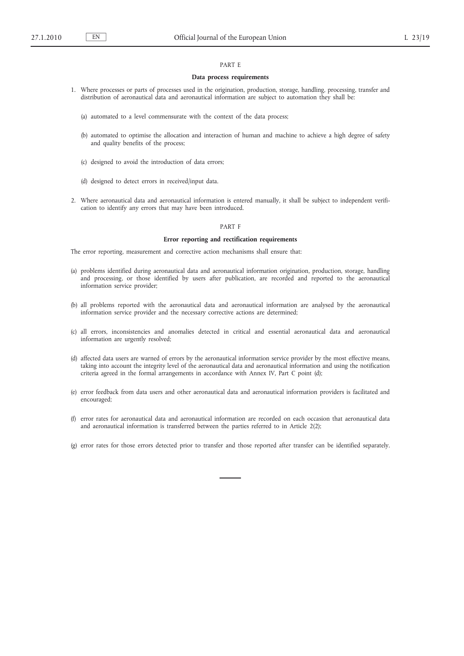## PART E

### **Data process requirements**

- 1. Where processes or parts of processes used in the origination, production, storage, handling, processing, transfer and distribution of aeronautical data and aeronautical information are subject to automation they shall be:
	- (a) automated to a level commensurate with the context of the data process;
	- (b) automated to optimise the allocation and interaction of human and machine to achieve a high degree of safety and quality benefits of the process;
	- (c) designed to avoid the introduction of data errors;
	- (d) designed to detect errors in received/input data.
- 2. Where aeronautical data and aeronautical information is entered manually, it shall be subject to independent verification to identify any errors that may have been introduced.

### PART F

#### **Error reporting and rectification requirements**

The error reporting, measurement and corrective action mechanisms shall ensure that:

- (a) problems identified during aeronautical data and aeronautical information origination, production, storage, handling and processing, or those identified by users after publication, are recorded and reported to the aeronautical information service provider;
- (b) all problems reported with the aeronautical data and aeronautical information are analysed by the aeronautical information service provider and the necessary corrective actions are determined;
- (c) all errors, inconsistencies and anomalies detected in critical and essential aeronautical data and aeronautical information are urgently resolved;
- (d) affected data users are warned of errors by the aeronautical information service provider by the most effective means, taking into account the integrity level of the aeronautical data and aeronautical information and using the notification criteria agreed in the formal arrangements in accordance with Annex IV, Part C point (d);
- (e) error feedback from data users and other aeronautical data and aeronautical information providers is facilitated and encouraged;
- (f) error rates for aeronautical data and aeronautical information are recorded on each occasion that aeronautical data and aeronautical information is transferred between the parties referred to in Article 2(2);
- (g) error rates for those errors detected prior to transfer and those reported after transfer can be identified separately.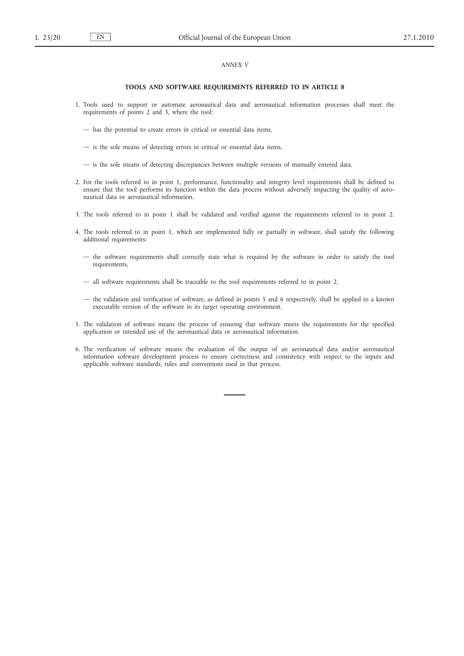## *ANNEX V*

## **TOOLS AND SOFTWARE REQUIREMENTS REFERRED TO IN ARTICLE 8**

- 1. Tools used to support or automate aeronautical data and aeronautical information processes shall meet the requirements of points 2 and 3, where the tool:
	- has the potential to create errors in critical or essential data items,
	- is the sole means of detecting errors in critical or essential data items,
	- is the sole means of detecting discrepancies between multiple versions of manually entered data.
- 2. For the tools referred to in point 1, performance, functionality and integrity level requirements shall be defined to ensure that the tool performs its function within the data process without adversely impacting the quality of aeronautical data or aeronautical information.
- 3. The tools referred to in point 1 shall be validated and verified against the requirements referred to in point 2.
- 4. The tools referred to in point 1, which are implemented fully or partially in software, shall satisfy the following additional requirements:
	- the software requirements shall correctly state what is required by the software in order to satisfy the tool requirements,
	- all software requirements shall be traceable to the tool requirements referred to in point 2,
	- the validation and verification of software, as defined in points 5 and 6 respectively, shall be applied to a known executable version of the software in its target operating environment.
- 5. The validation of software means the process of ensuring that software meets the requirements for the specified application or intended use of the aeronautical data or aeronautical information.
- 6. The verification of software means the evaluation of the output of an aeronautical data and/or aeronautical information software development process to ensure correctness and consistency with respect to the inputs and applicable software standards, rules and conventions used in that process.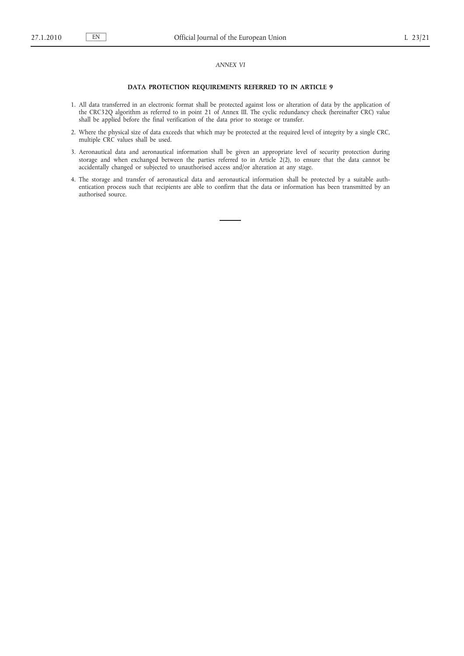## *ANNEX VI*

## **DATA PROTECTION REQUIREMENTS REFERRED TO IN ARTICLE 9**

- 1. All data transferred in an electronic format shall be protected against loss or alteration of data by the application of the CRC32Q algorithm as referred to in point 21 of Annex III. The cyclic redundancy check (hereinafter CRC) value shall be applied before the final verification of the data prior to storage or transfer.
- 2. Where the physical size of data exceeds that which may be protected at the required level of integrity by a single CRC, multiple CRC values shall be used.
- 3. Aeronautical data and aeronautical information shall be given an appropriate level of security protection during storage and when exchanged between the parties referred to in Article 2(2), to ensure that the data cannot be accidentally changed or subjected to unauthorised access and/or alteration at any stage.
- 4. The storage and transfer of aeronautical data and aeronautical information shall be protected by a suitable authentication process such that recipients are able to confirm that the data or information has been transmitted by an authorised source.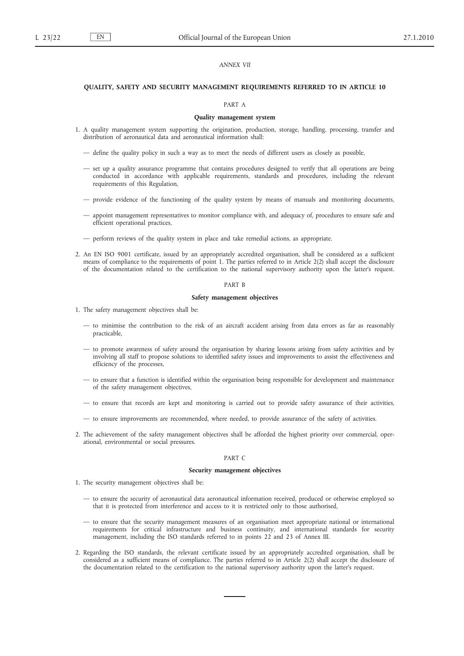## *ANNEX VII*

### **QUALITY, SAFETY AND SECURITY MANAGEMENT REQUIREMENTS REFERRED TO IN ARTICLE 10**

### PART A

### **Quality management system**

- 1. A quality management system supporting the origination, production, storage, handling, processing, transfer and distribution of aeronautical data and aeronautical information shall:
	- define the quality policy in such a way as to meet the needs of different users as closely as possible,
	- set up a quality assurance programme that contains procedures designed to verify that all operations are being conducted in accordance with applicable requirements, standards and procedures, including the relevant requirements of this Regulation,
	- provide evidence of the functioning of the quality system by means of manuals and monitoring documents,
	- appoint management representatives to monitor compliance with, and adequacy of, procedures to ensure safe and efficient operational practices,
	- perform reviews of the quality system in place and take remedial actions, as appropriate.
- 2. An EN ISO 9001 certificate, issued by an appropriately accredited organisation, shall be considered as a sufficient means of compliance to the requirements of point 1. The parties referred to in Article 2(2) shall accept the disclosure of the documentation related to the certification to the national supervisory authority upon the latter's request.

## PART B

#### **Safety management objectives**

- 1. The safety management objectives shall be:
	- to minimise the contribution to the risk of an aircraft accident arising from data errors as far as reasonably practicable,
	- to promote awareness of safety around the organisation by sharing lessons arising from safety activities and by involving all staff to propose solutions to identified safety issues and improvements to assist the effectiveness and efficiency of the processes,
	- to ensure that a function is identified within the organisation being responsible for development and maintenance of the safety management objectives,
	- to ensure that records are kept and monitoring is carried out to provide safety assurance of their activities,
	- to ensure improvements are recommended, where needed, to provide assurance of the safety of activities.
- 2. The achievement of the safety management objectives shall be afforded the highest priority over commercial, operational, environmental or social pressures.

## PART C

#### **Security management objectives**

- 1. The security management objectives shall be:
	- to ensure the security of aeronautical data aeronautical information received, produced or otherwise employed so that it is protected from interference and access to it is restricted only to those authorised,
	- to ensure that the security management measures of an organisation meet appropriate national or international requirements for critical infrastructure and business continuity, and international standards for security management, including the ISO standards referred to in points 22 and 23 of Annex III.
- 2. Regarding the ISO standards, the relevant certificate issued by an appropriately accredited organisation, shall be considered as a sufficient means of compliance. The parties referred to in Article 2(2) shall accept the disclosure of the documentation related to the certification to the national supervisory authority upon the latter's request.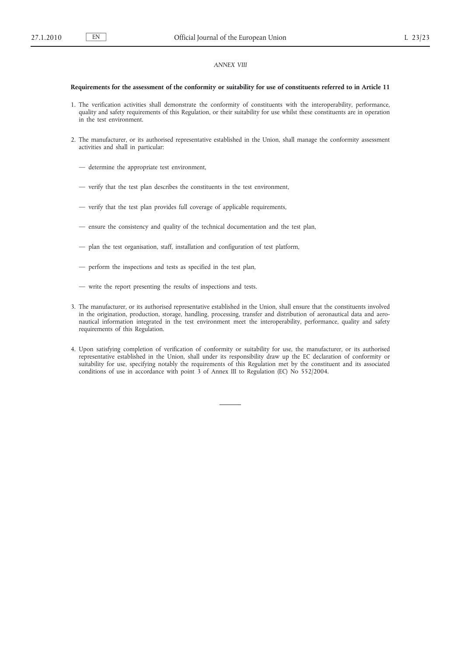## *ANNEX VIII*

#### **Requirements for the assessment of the conformity or suitability for use of constituents referred to in Article 11**

- 1. The verification activities shall demonstrate the conformity of constituents with the interoperability, performance, quality and safety requirements of this Regulation, or their suitability for use whilst these constituents are in operation in the test environment.
- 2. The manufacturer, or its authorised representative established in the Union, shall manage the conformity assessment activities and shall in particular:
	- determine the appropriate test environment,
	- verify that the test plan describes the constituents in the test environment,
	- verify that the test plan provides full coverage of applicable requirements,
	- ensure the consistency and quality of the technical documentation and the test plan,
	- plan the test organisation, staff, installation and configuration of test platform,
	- perform the inspections and tests as specified in the test plan,
	- write the report presenting the results of inspections and tests.
- 3. The manufacturer, or its authorised representative established in the Union, shall ensure that the constituents involved in the origination, production, storage, handling, processing, transfer and distribution of aeronautical data and aeronautical information integrated in the test environment meet the interoperability, performance, quality and safety requirements of this Regulation.
- 4. Upon satisfying completion of verification of conformity or suitability for use, the manufacturer, or its authorised representative established in the Union, shall under its responsibility draw up the EC declaration of conformity or suitability for use, specifying notably the requirements of this Regulation met by the constituent and its associated conditions of use in accordance with point 3 of Annex III to Regulation (EC) No 552/2004.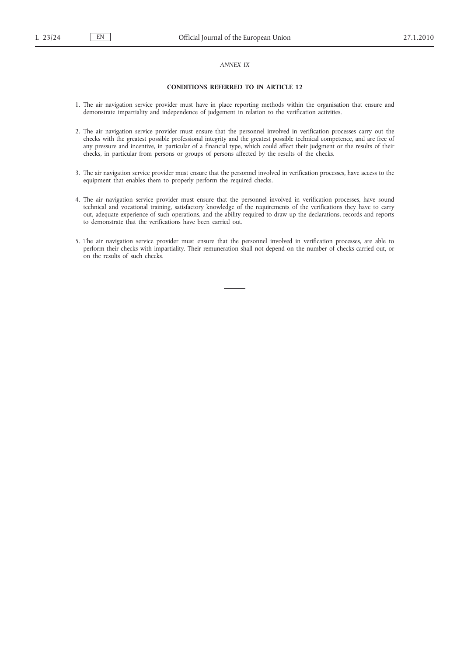## *ANNEX IX*

## **CONDITIONS REFERRED TO IN ARTICLE 12**

- 1. The air navigation service provider must have in place reporting methods within the organisation that ensure and demonstrate impartiality and independence of judgement in relation to the verification activities.
- 2. The air navigation service provider must ensure that the personnel involved in verification processes carry out the checks with the greatest possible professional integrity and the greatest possible technical competence, and are free of any pressure and incentive, in particular of a financial type, which could affect their judgment or the results of their checks, in particular from persons or groups of persons affected by the results of the checks.
- 3. The air navigation service provider must ensure that the personnel involved in verification processes, have access to the equipment that enables them to properly perform the required checks.
- 4. The air navigation service provider must ensure that the personnel involved in verification processes, have sound technical and vocational training, satisfactory knowledge of the requirements of the verifications they have to carry out, adequate experience of such operations, and the ability required to draw up the declarations, records and reports to demonstrate that the verifications have been carried out.
- 5. The air navigation service provider must ensure that the personnel involved in verification processes, are able to perform their checks with impartiality. Their remuneration shall not depend on the number of checks carried out, or on the results of such checks.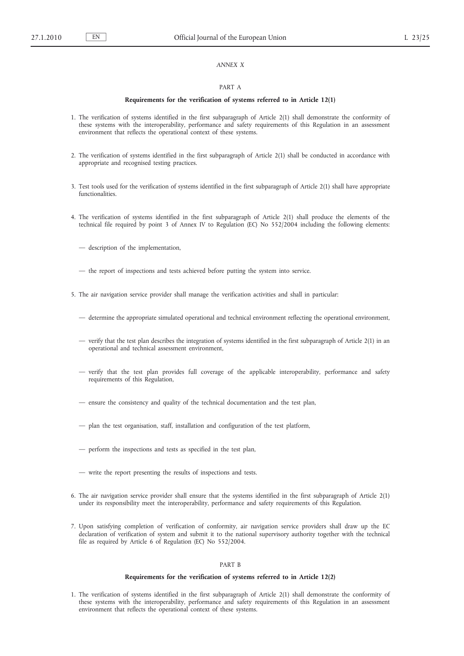## *ANNEX X*

### PART A

#### **Requirements for the verification of systems referred to in Article 12(1)**

- 1. The verification of systems identified in the first subparagraph of Article 2(1) shall demonstrate the conformity of these systems with the interoperability, performance and safety requirements of this Regulation in an assessment environment that reflects the operational context of these systems.
- 2. The verification of systems identified in the first subparagraph of Article 2(1) shall be conducted in accordance with appropriate and recognised testing practices.
- 3. Test tools used for the verification of systems identified in the first subparagraph of Article 2(1) shall have appropriate functionalities.
- 4. The verification of systems identified in the first subparagraph of Article 2(1) shall produce the elements of the technical file required by point 3 of Annex IV to Regulation (EC) No 552/2004 including the following elements:
	- description of the implementation,
	- the report of inspections and tests achieved before putting the system into service.
- 5. The air navigation service provider shall manage the verification activities and shall in particular:
	- determine the appropriate simulated operational and technical environment reflecting the operational environment,
	- verify that the test plan describes the integration of systems identified in the first subparagraph of Article 2(1) in an operational and technical assessment environment,
	- verify that the test plan provides full coverage of the applicable interoperability, performance and safety requirements of this Regulation,
	- ensure the consistency and quality of the technical documentation and the test plan,
	- plan the test organisation, staff, installation and configuration of the test platform,
	- perform the inspections and tests as specified in the test plan,
	- write the report presenting the results of inspections and tests.
- 6. The air navigation service provider shall ensure that the systems identified in the first subparagraph of Article 2(1) under its responsibility meet the interoperability, performance and safety requirements of this Regulation.
- 7. Upon satisfying completion of verification of conformity, air navigation service providers shall draw up the EC declaration of verification of system and submit it to the national supervisory authority together with the technical file as required by Article 6 of Regulation (EC) No 552/2004.

## PART B

## **Requirements for the verification of systems referred to in Article 12(2)**

1. The verification of systems identified in the first subparagraph of Article 2(1) shall demonstrate the conformity of these systems with the interoperability, performance and safety requirements of this Regulation in an assessment environment that reflects the operational context of these systems.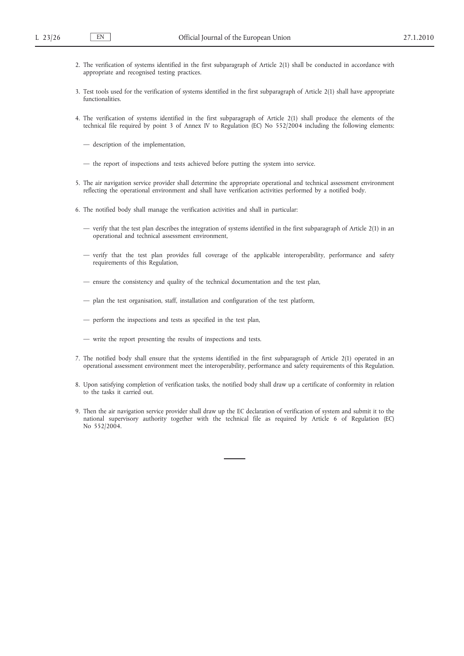- 2. The verification of systems identified in the first subparagraph of Article 2(1) shall be conducted in accordance with appropriate and recognised testing practices.
- 3. Test tools used for the verification of systems identified in the first subparagraph of Article 2(1) shall have appropriate functionalities.
- 4. The verification of systems identified in the first subparagraph of Article 2(1) shall produce the elements of the technical file required by point 3 of Annex IV to Regulation (EC) No 552/2004 including the following elements:
	- description of the implementation,
	- the report of inspections and tests achieved before putting the system into service.
- 5. The air navigation service provider shall determine the appropriate operational and technical assessment environment reflecting the operational environment and shall have verification activities performed by a notified body.
- 6. The notified body shall manage the verification activities and shall in particular:
	- verify that the test plan describes the integration of systems identified in the first subparagraph of Article 2(1) in an operational and technical assessment environment,
	- verify that the test plan provides full coverage of the applicable interoperability, performance and safety requirements of this Regulation,
	- ensure the consistency and quality of the technical documentation and the test plan,
	- plan the test organisation, staff, installation and configuration of the test platform,
	- perform the inspections and tests as specified in the test plan,
	- write the report presenting the results of inspections and tests.
- 7. The notified body shall ensure that the systems identified in the first subparagraph of Article 2(1) operated in an operational assessment environment meet the interoperability, performance and safety requirements of this Regulation.
- 8. Upon satisfying completion of verification tasks, the notified body shall draw up a certificate of conformity in relation to the tasks it carried out.
- 9. Then the air navigation service provider shall draw up the EC declaration of verification of system and submit it to the national supervisory authority together with the technical file as required by Article 6 of Regulation (EC) No 552/2004.